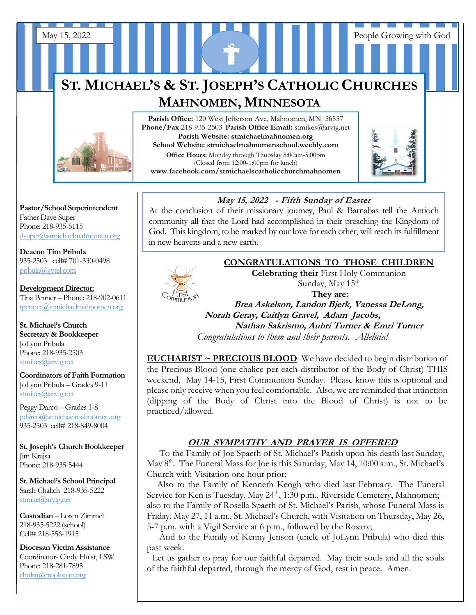# **ST. MICHAEL'S & ST. JOSEPH'S CATHOLIC CHURCHES MAHNOMEN, MINNESOTA**

May 15, 2022 People Growing with God



**Phone/Fax** 218-935-2503 **Parish Office Email:** stmikes@arvig.net **Parish Website: stmichaelmahnomen.org School Website: stmichaelmahnomenschool.weebly.com Office Hours:** Monday through Thursday 8:00am-5:00pm (Closed from 12:00-1:00pm for lunch) **www.facebook.com/stmichaelscatholicchurchmahnomen**

Parish Office: 120 West Jefferson Ave, Mahnomen, MN 56557



#### **Pastor/School Superintendent** Father Dave Super Phone: 218-935-5115 [dsuper@stmichaelmahnomen.org](mailto:dsuper@stmichaelmahnomen.org)

**Deacon Tim Pribula** 935-2503 cell# 701-330-0498 [pribula@gvtel.com](mailto:pribula@gvtel.com)

**Development Director:** Tina Penner – Phone: 218-902-0611 [tpenner@stmichaelmahnomen.org](mailto:tpenner@stmichaelmahnomen.org)

**St. Michael's Church Secretary & Bookkeeper** JoLynn Pribula Phone: 218-935-2503 stmikes@arvig.net

**Coordinators of Faith Formation**  JoLynn Pribula – Grades 9-11 stmikes@arvig.net

Peggy Darco – Grades 1-8 [pdarco@stmichaelmahnomen.org](mailto:pdarco@stmichaelmahnomen.org) 935-2503 cell# 218-849-8004

**St. Joseph's Church Bookkeeper** Jim Krajsa Phone: 218-935-5444

**St. Michael's School Principal** Sarah Chalich 218-935-5222 [stmike@arvig.net](mailto:stmike@arvig.net) 

**Custodian** – Loren Zimmel 218-935-5222 (school) Cell# 218-556-1915

**Diocesan Victim Assistance** Coordinator- Cindy Hulst, LSW Phone: 218-281-7895 [chulst@crookston.org](mailto:chulst@crookston.org)

 $\overline{a}$ 

### **May 15, 2022 - Fifth Sunday of Easter May 15, 2022** - Fifth Sunday of Easter St. Joseph's Goal is \$5,629.00 and 27 Parishioners have

At the conclusion of their missionary journey, Paul & Barnabas tell the Antioch community all that the Lord had accomplished in their preaching the Kingdom of God. This kingdom, to be marked by our love for each other, will reach its fulfillment in gave heavene and a gave semb in new heavens and a new earth. *12/31/16 as well as new gifts can be received until* 



**CONGRATULATIONS TO THOSE CHILDREN Celebrating their** First Holy Communion Sunday, May 15<sup>th</sup>

**They are:**

**Brea Askelson, Landon Bjerk, Vanessa DeLong, Norah Geray, Caitlyn Gravel, Adam Jacobs, Nathan Sakrismo, Aubri Turner & Emri Turner** *Congratulations to them and their parents. Alleluia!*

**EUCHARIST ~ PRECIOUS BLOOD** We have decided to begin distribution of the Precious Blood (one chalice per each distributor of the Body of Christ) THIS weekend, May 14-15, First Communion Sunday. Please know this is optional and please only receive when you feel comfortable. Also, we are reminded that intinction (dipping of the Body of Christ into the Blood of Christ) is not to be practiced/allowed.

# **OUR SYMPATHY AND PRAYER IS OFFERED**

 To the Family of Joe Spaeth of St. Michael's Parish upon his death last Sunday, May 8<sup>th</sup>. The Funeral Mass for Joe is this Saturday, May 14, 10:00 a.m., St. Michael's Church with Visitation one hour prior;

 Also to the Family of Kenneth Keogh who died last February. The Funeral Service for Ken is Tuesday, May 24<sup>th</sup>, 1:30 p.m., Riverside Cemetery, Mahnomen; also to the Family of Rosella Spaeth of St. Michael's Parish, whose Funeral Mass is Friday, May 27, 11 a.m., St. Michael's Church, with Visitation on Thursday, May 26, 5-7 p.m. with a Vigil Service at 6 p.m., followed by the Rosary;

 And to the Family of Kenny Jenson (uncle of JoLynn Pribula) who died this past week.

 Let us gather to pray for our faithful departed. May their souls and all the souls of the faithful departed, through the mercy of God, rest in peace. Amen.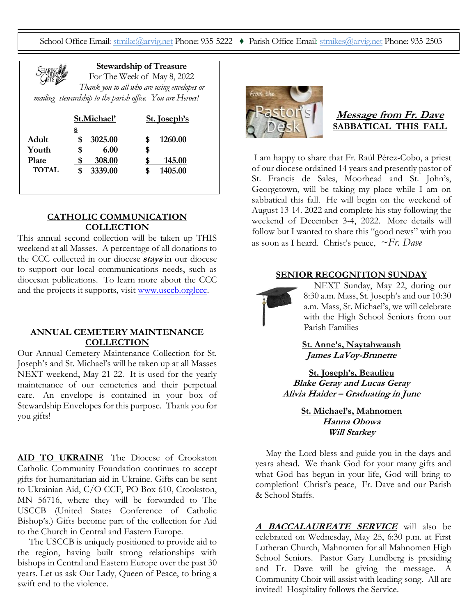School Office Email: [stmike@arvig.net](mailto:stmike@arvig.net) Phone: 935-5222 ♦ Parish Office Email: [stmikes@arvig.net](mailto:stmikes@arvig.net) Phone: 935-2503



**Stewardship of Treasure**

For The Week of May 8, 2022 *Thank you to all who are using envelopes or mailing stewardship to the parish office. You are Heroes!*

|              | St.Michael' |         | St. Joseph's |         |
|--------------|-------------|---------|--------------|---------|
|              | <u>s</u>    |         |              |         |
| Adult        |             | 3025.00 | S            | 1260.00 |
| Youth        | \$          | 6.00    | \$           |         |
| <b>Plate</b> |             | 308.00  |              | 145.00  |
| TOTAL        |             | 3339.00 |              | 1405.00 |
|              |             |         |              |         |

### **CATHOLIC COMMUNICATION COLLECTION**

This annual second collection will be taken up THIS weekend at all Masses. A percentage of all donations to the CCC collected in our diocese **stays** in our diocese to support our local communications needs, such as diocesan publications. To learn more about the CCC and the projects it supports, visit [www.usccb.orglccc.](http://www.usccb.orglccc/)

#### **ANNUAL CEMETERY MAINTENANCE COLLECTION**

Our Annual Cemetery Maintenance Collection for St. Joseph's and St. Michael's will be taken up at all Masses NEXT weekend, May 21-22. It is used for the yearly maintenance of our cemeteries and their perpetual care. An envelope is contained in your box of Stewardship Envelopes for this purpose. Thank you for you gifts!

**AID TO UKRAINE** The Diocese of Crookston Catholic Community Foundation continues to accept gifts for humanitarian aid in Ukraine. Gifts can be sent to Ukrainian Aid, C/O CCF, PO Box 610, Crookston, MN 56716, where they will be forwarded to The USCCB (United States Conference of Catholic Bishop's.) Gifts become part of the collection for Aid to the Church in Central and Eastern Europe.

 The USCCB is uniquely positioned to provide aid to the region, having built strong relationships with bishops in Central and Eastern Europe over the past 30 years. Let us ask Our Lady, Queen of Peace, to bring a swift end to the violence.



# **Message from Fr. Dave SABBATICAL THIS FALL**

I am happy to share that Fr. Raúl Pérez-Cobo, a priest of our diocese ordained 14 years and presently pastor of St. Francis de Sales, Moorhead and St. John's, Georgetown, will be taking my place while I am on sabbatical this fall. He will begin on the weekend of August 13-14. 2022 and complete his stay following the weekend of December 3-4, 2022. More details will follow but I wanted to share this "good news" with you as soon as I heard. Christ's peace, *~Fr. Dave* 

#### **SENIOR RECOGNITION SUNDAY**



NEXT Sunday, May 22, during our 8:30 a.m. Mass, St. Joseph's and our 10:30 a.m. Mass, St. Michael's, we will celebrate with the High School Seniors from our Parish Families

**St. Anne's, Naytahwaush James LaVoy-Brunette**

**St. Joseph's, Beaulieu Blake Geray and Lucas Geray Alivia Haider – Graduating in June**

> **St. Michael's, Mahnomen Hanna Obowa Will Starkey**

May the Lord bless and guide you in the days and years ahead. We thank God for your many gifts and what God has begun in your life, God will bring to completion! Christ's peace, Fr. Dave and our Parish & School Staffs.

**A BACCALAUREATE SERVICE** will also be celebrated on Wednesday, May 25, 6:30 p.m. at First Lutheran Church, Mahnomen for all Mahnomen High School Seniors. Pastor Gary Lundberg is presiding and Fr. Dave will be giving the message. A Community Choir will assist with leading song. All are invited! Hospitality follows the Service.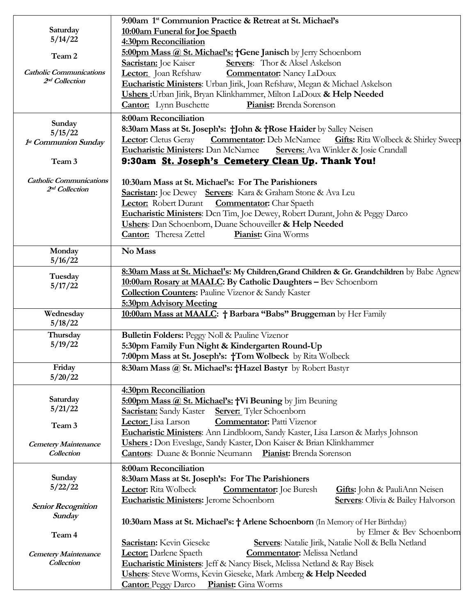|                                | 9:00am 1 <sup>st</sup> Communion Practice & Retreat at St. Michael's                                      |  |  |  |  |
|--------------------------------|-----------------------------------------------------------------------------------------------------------|--|--|--|--|
| Saturday                       | 10:00am Funeral for Joe Spaeth                                                                            |  |  |  |  |
| 5/14/22                        | 4:30pm Reconciliation                                                                                     |  |  |  |  |
|                                | 5:00pm Mass @ St. Michael's: +Gene Janisch by Jerry Schoenborn                                            |  |  |  |  |
| Team 2                         | Sacristan: Joe Kaiser<br><b>Servers:</b> Thor & Aksel Askelson                                            |  |  |  |  |
| <b>Catholic Communications</b> | Lector: Joan Refshaw<br><b>Commentator:</b> Nancy LaDoux                                                  |  |  |  |  |
| 2 <sup>nd</sup> Collection     | Eucharistic Ministers: Urban Jirik, Joan Refshaw, Megan & Michael Askelson                                |  |  |  |  |
|                                | Ushers: Urban Jirik, Bryan Klinkhammer, Milton LaDoux & Help Needed                                       |  |  |  |  |
|                                | <b>Cantor:</b> Lynn Buschette<br>Pianist: Brenda Sorenson                                                 |  |  |  |  |
|                                |                                                                                                           |  |  |  |  |
| Sunday                         | 8:00am Reconciliation                                                                                     |  |  |  |  |
| 5/15/22                        | 8:30am Mass at St. Joseph's: +John & +Rose Haider by Salley Neisen                                        |  |  |  |  |
| 1st Communion Sunday           | <b>Commentator:</b> Deb McNamee <b>Gifts:</b> Rita Wolbeck & Shirley Sweep<br><b>Lector:</b> Cletus Geray |  |  |  |  |
|                                | <b>Eucharistic Ministers: Dan McNamee</b><br>Servers: Ava Winkler & Josie Crandall                        |  |  |  |  |
| Team 3                         | 9:30am St. Joseph's Cemetery Clean Up. Thank You!                                                         |  |  |  |  |
|                                |                                                                                                           |  |  |  |  |
| <b>Catholic Communications</b> | 10:30am Mass at St. Michael's: For The Parishioners                                                       |  |  |  |  |
| 2 <sup>nd</sup> Collection     | Sacristan: Joe Dewey Servers: Kara & Graham Stone & Ava Leu                                               |  |  |  |  |
|                                | <b>Lector:</b> Robert Durant<br><b>Commentator:</b> Char Spaeth                                           |  |  |  |  |
|                                | Eucharistic Ministers: Dcn Tim, Joe Dewey, Robert Durant, John & Peggy Darco                              |  |  |  |  |
|                                | <b>Ushers:</b> Dan Schoenborn, Duane Schouveiller & Help Needed                                           |  |  |  |  |
|                                | <b>Cantor:</b> Theresa Zettel<br>Pianist: Gina Worms                                                      |  |  |  |  |
|                                |                                                                                                           |  |  |  |  |
| Monday                         | No Mass                                                                                                   |  |  |  |  |
| 5/16/22                        |                                                                                                           |  |  |  |  |
| Tuesday                        | 8:30am Mass at St. Michael's: My Children, Grand Children & Gr. Grandchildren by Babe Agnew               |  |  |  |  |
| 5/17/22                        | 10:00am Rosary at MAALC: By Catholic Daughters - Bev Schoenborn                                           |  |  |  |  |
|                                | <b>Collection Counters:</b> Pauline Vizenor & Sandy Kaster                                                |  |  |  |  |
|                                | 5:30pm Advisory Meeting                                                                                   |  |  |  |  |
| Wednesday                      | 10:00am Mass at MAALC: + Barbara "Babs" Bruggeman by Her Family                                           |  |  |  |  |
| 5/18/22                        |                                                                                                           |  |  |  |  |
| Thursday                       | Bulletin Folders: Peggy Noll & Pauline Vizenor                                                            |  |  |  |  |
| 5/19/22                        | 5:30pm Family Fun Night & Kindergarten Round-Up                                                           |  |  |  |  |
|                                | 7:00pm Mass at St. Joseph's: †Tom Wolbeck by Rita Wolbeck                                                 |  |  |  |  |
| Friday                         | 8:30am Mass @ St. Michael's: +Hazel Bastyr by Robert Bastyr                                               |  |  |  |  |
| 5/20/22                        |                                                                                                           |  |  |  |  |
|                                | <b>4:30pm Reconciliation</b>                                                                              |  |  |  |  |
| Saturday                       | 5:00pm Mass @ St. Michael's: †Vi Beuning by Jim Beuning                                                   |  |  |  |  |
| 5/21/22                        | <b>Sacristan:</b> Sandy Kaster<br><b>Server:</b> Tyler Schoenborn                                         |  |  |  |  |
| Team 3                         | <b>Commentator:</b> Patti Vizenor<br>Lector: Lisa Larson                                                  |  |  |  |  |
|                                | Eucharistic Ministers: Ann Lindbloom, Sandy Kaster, Lisa Larson & Marlys Johnson                          |  |  |  |  |
| <b>Cemetery Maintenance</b>    | <b>Ushers:</b> Don Eveslage, Sandy Kaster, Don Kaiser & Brian Klinkhammer                                 |  |  |  |  |
| Collection                     | <b>Cantors:</b> Duane & Bonnie Neumann Pianist: Brenda Sorenson                                           |  |  |  |  |
|                                |                                                                                                           |  |  |  |  |
| Sunday                         | 8:00am Reconciliation                                                                                     |  |  |  |  |
| 5/22/22                        | 8:30am Mass at St. Joseph's: For The Parishioners                                                         |  |  |  |  |
|                                | <b>Lector:</b> Rita Wolbeck<br><b>Commentator:</b> Joe Buresh<br>Gifts: John & PauliAnn Neisen            |  |  |  |  |
| <b>Senior Recognition</b>      | Eucharistic Ministers: Jerome Schoenborn<br><b>Servers:</b> Olivia & Bailey Halvorson                     |  |  |  |  |
| Sunday                         |                                                                                                           |  |  |  |  |
|                                | 10:30am Mass at St. Michael's: † Arlene Schoenborn (In Memory of Her Birthday)                            |  |  |  |  |
| Team 4                         | by Elmer & Bev Schoenborn                                                                                 |  |  |  |  |
|                                | <b>Sacristan:</b> Kevin Gieseke<br>Servers: Natalie Jirik, Natalie Noll & Bella Netland                   |  |  |  |  |
| <b>Cemetery Maintenance</b>    | <b>Lector:</b> Darlene Spaeth<br><b>Commentator:</b> Melissa Netland                                      |  |  |  |  |
| Collection                     | Eucharistic Ministers: Jeff & Nancy Bisek, Melissa Netland & Ray Bisek                                    |  |  |  |  |
|                                | Ushers: Steve Worms, Kevin Gieseke, Mark Amberg & Help Needed                                             |  |  |  |  |
|                                | <b>Cantor:</b> Peggy Darco<br>Pianist: Gina Worms                                                         |  |  |  |  |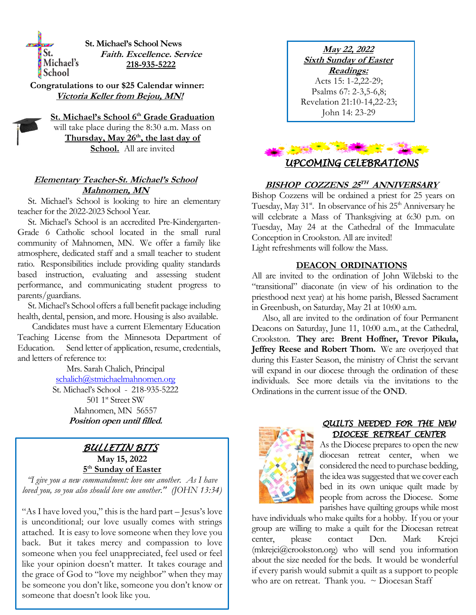**St. Michael's School News Faith. Excellence. Service** Michael's **218-935-5222 School** 

**Congratulations to our \$25 Calendar winner: Victoria Keller from Bejou, MN!**

St.

**St. Michael's School 6th Grade Graduation** will take place during the 8:30 a.m. Mass on **Thursday, May 26th, the last day of School.** All are invited

### **Elementary Teacher-St. Michael's School Mahnomen, MN**

 St. Michael's School is looking to hire an elementary teacher for the 2022-2023 School Year.

 St. Michael's School is an accredited Pre-Kindergarten-Grade 6 Catholic school located in the small rural community of Mahnomen, MN. We offer a family like atmosphere, dedicated staff and a small teacher to student ratio. Responsibilities include providing quality standards based instruction, evaluating and assessing student performance, and communicating student progress to parents/guardians.

 St. Michael's School offers a full benefit package including health, dental, pension, and more. Housing is also available.

 Candidates must have a current Elementary Education Teaching License from the Minnesota Department of Education. Send letter of application, resume, credentials, and letters of reference to:

> Mrs. Sarah Chalich, Principal [schalich@stmichaelmahnomen.org](mailto:schalich@stmichaelmahnomen.org) St. Michael's School - 218-935-5222 501 1<sup>st</sup> Street SW Mahnomen, MN 56557 **Position open until filled.**

# *BULLETIN BITS*  **May 15, 2022 5 th Sunday of Easter**

*"I give you a new commandment: love one another. As I have loved you, so you also should love one another." (JOHN 13:34)*

"As I have loved you," this is the hard part – Jesus's love is unconditional; our love usually comes with strings attached. It is easy to love someone when they love you back. But it takes mercy and compassion to love someone when you feel unappreciated, feel used or feel like your opinion doesn't matter. It takes courage and the grace of God to "love my neighbor" when they may be someone you don't like, someone you don't know or someone that doesn't look like you.

**May 22, 2022 Sixth Sunday of Easter Readings:** Acts 15: 1-2,22-29; Psalms 67: 2-3,5-6,8; Revelation 21:10-14,22-23; John 14: 23-29



### **BISHOP COZZENS 25 TH ANNIVERSARY**

Bishop Cozzens will be ordained a priest for 25 years on Tuesday, May  $31$ <sup>st</sup>. In observance of his  $25<sup>th</sup>$  Anniversary he will celebrate a Mass of Thanksgiving at 6:30 p.m. on Tuesday, May 24 at the Cathedral of the Immaculate Conception in Crookston. All are invited! Light refreshments will follow the Mass.

### **DEACON ORDINATIONS**

All are invited to the ordination of John Wilebski to the "transitional" diaconate (in view of his ordination to the priesthood next year) at his home parish, Blessed Sacrament in Greenbush, on Saturday, May 21 at 10:00 a.m.

 Also, all are invited to the ordination of four Permanent Deacons on Saturday, June 11, 10:00 a.m., at the Cathedral, Crookston. **They are: Brent Hoffner, Trevor Pikula, Jeffrey Reese and Robert Thom.** We are overjoyed that during this Easter Season, the ministry of Christ the servant will expand in our diocese through the ordination of these individuals. See more details via the invitations to the Ordinations in the current issue of the **OND**.



### *QUILTS NEEDED FOR THE NEW DIOCESE RETREAT CENTER*

As the Diocese prepares to open the new diocesan retreat center, when we considered the need to purchase bedding, the idea was suggested that we cover each bed in its own unique quilt made by people from across the Diocese. Some parishes have quilting groups while most

have individuals who make quilts for a hobby. If you or your group are willing to make a quilt for the Diocesan retreat center, please contact Dcn. Mark Krejci  $(m\text{kreici@crookston.org})$  who will send you information about the size needed for the beds. It would be wonderful if every parish would submit a quilt as a support to people who are on retreat. Thank you.  $\sim$  Diocesan Staff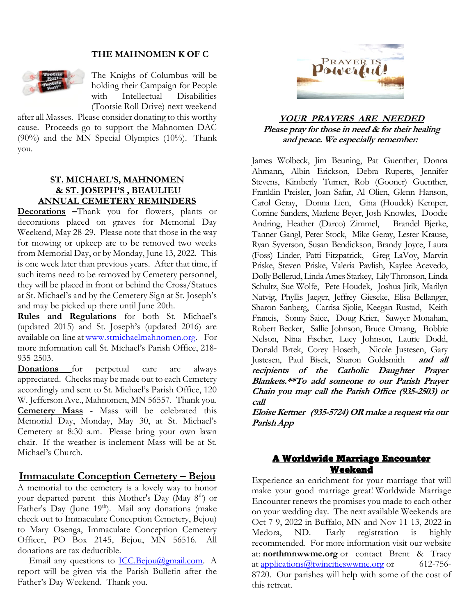# **THE MAHNOMEN K OF C**



The Knighs of Columbus will be holding their Campaign for People with Intellectual Disabilities (Tootsie Roll Drive) next weekend

after all Masses. Please consider donating to this worthy cause. Proceeds go to support the Mahnomen DAC (90%) and the MN Special Olympics (10%). Thank you.

### **ST. MICHAEL'S, MAHNOMEN & ST. JOSEPH'S , BEAULIEU ANNUAL CEMETERY REMINDERS**

**Decorations –**Thank you for flowers, plants or decorations placed on graves for Memorial Day Weekend, May 28-29. Please note that those in the way for mowing or upkeep are to be removed two weeks from Memorial Day, or by Monday, June 13, 2022. This is one week later than previous years. After that time, if such items need to be removed by Cemetery personnel, they will be placed in front or behind the Cross/Statues at St. Michael's and by the Cemetery Sign at St. Joseph's and may be picked up there until June 20th.

**Rules and Regulations** for both St. Michael's (updated 2015) and St. Joseph's (updated 2016) are available on-line at [www.stmichaelmahnomen.org.](http://www.stmichaelmahnomen.org/) For more information call St. Michael's Parish Office, 218- 935-2503.

**Donations** for perpetual care are always appreciated. Checks may be made out to each Cemetery accordingly and sent to St. Michael's Parish Office, 120 W. Jefferson Ave., Mahnomen, MN 56557. Thank you. **Cemetery Mass** - Mass will be celebrated this Memorial Day, Monday, May 30, at St. Michael's Cemetery at 8:30 a.m. Please bring your own lawn chair. If the weather is inclement Mass will be at St. Michael's Church.

# **Immaculate Conception Cemetery – Bejou**

A memorial to the cemetery is a lovely way to honor your departed parent this Mother's Day (May 8<sup>th</sup>) or Father's Day (June 19<sup>th</sup>). Mail any donations (make check out to Immaculate Conception Cemetery, Bejou) to Mary Osenga, Immaculate Conception Cemetery Officer, PO Box 2145, Bejou, MN 56516. All donations are tax deductible.

Email any questions to **ICC.Bejou@gmail.com**. A report will be given via the Parish Bulletin after the Father's Day Weekend. Thank you.



### **YOUR PRAYERS ARE NEEDED Please pray for those in need & for their healing and peace. We especially remember:**

James Wolbeck, Jim Beuning, Pat Guenther, Donna Ahmann, Albin Erickson, Debra Ruperts, Jennifer Stevens, Kimberly Turner, Rob (Gooner) Guenther, Franklin Preisler, Joan Safar, Al Olien, Glenn Hanson, Carol Geray, Donna Lien, Gina (Houdek) Kemper, Corrine Sanders, Marlene Beyer, Josh Knowles, Doodie Andring, Heather (Darco) Zimmel, Brandel Bjerke, Tanner Gangl, Peter Stock, Mike Geray, Lester Krause, Ryan Syverson, Susan Bendickson, Brandy Joyce, Laura (Foss) Linder, Patti Fitzpatrick, Greg LaVoy, Marvin Priske, Steven Priske, Valeria Pavlish, Kaylee Acevedo, Dolly Bellerud, Linda Ames Starkey, Lily Thronson, Linda Schultz, Sue Wolfe, Pete Houdek, Joshua Jirik, Marilyn Natvig, Phyllis Jaeger, Jeffrey Gieseke, Elisa Bellanger, Sharon Sanberg, Carrisa Sjolie, Keegan Rustad, Keith Francis, Sonny Saice,Doug Krier, Sawyer Monahan, Robert Becker, Sallie Johnson, Bruce Omang, Bobbie Nelson, Nina Fischer, Lucy Johnson, Laurie Dodd, Donald Brtek, Corey Hoseth, Nicole Justesen, Gary Justesen, Paul Bisek, Sharon Goldsmith **and all recipients of the Catholic Daughter Prayer Blankets.\*\*To add someone to our Parish Prayer Chain you may call the Parish Office (935-2503) or call** 

**Eloise Kettner (935-5724) OR make a request via our Parish App**

# A Worldwide Marriage Encounter Weekend

Experience an enrichment for your marriage that will make your good marriage great! Worldwide Marriage Encounter renews the promises you made to each other on your wedding day. The next available Weekends are Oct 7-9, 2022 in Buffalo, MN and Nov 11-13, 2022 in Medora, ND. Early registration is highly recommended. For more information visit our website at: **northmnwwme.org** or contact Brent & Tracy at [applications@twincitieswwme.org](mailto:wmandbethnickles@hotmail.com) or 612-756-8720. Our parishes will help with some of the cost of this retreat.